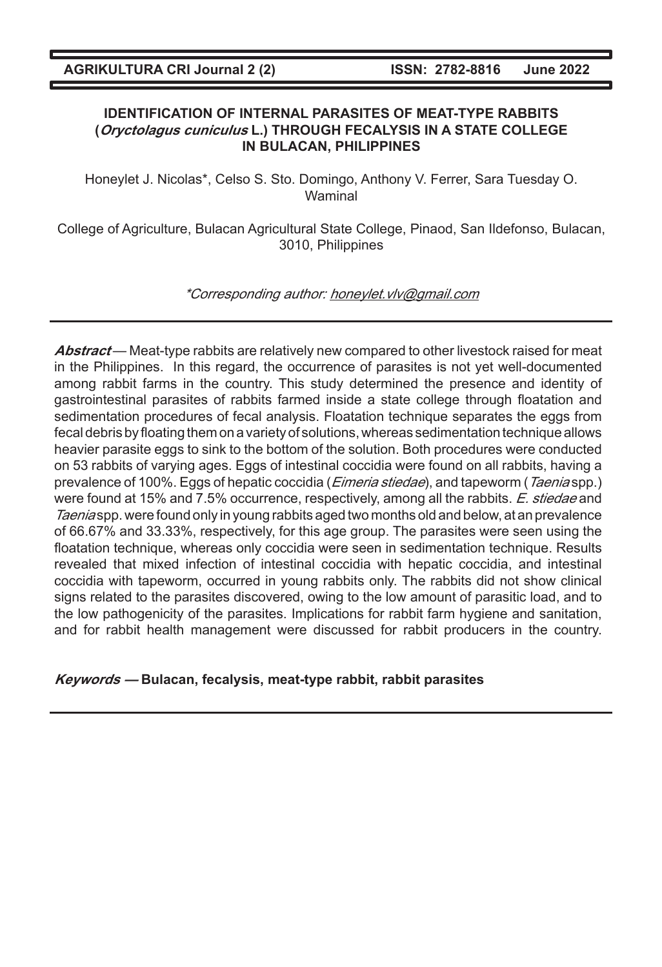## **IDENTIFICATION OF INTERNAL PARASITES OF MEAT-TYPE RABBITS (Oryctolagus cuniculus L.) THROUGH FECALYSIS IN A STATE COLLEGE IN BULACAN, PHILIPPINES**

Honeylet J. Nicolas\*, Celso S. Sto. Domingo, Anthony V. Ferrer, Sara Tuesday O. Waminal

College of Agriculture, Bulacan Agricultural State College, Pinaod, San Ildefonso, Bulacan, 3010, Philippines

\*Corresponding author: honeylet.vlv@gmail.com

**Abstract** — Meat-type rabbits are relatively new compared to other livestock raised for meat in the Philippines. In this regard, the occurrence of parasites is not yet well-documented among rabbit farms in the country. This study determined the presence and identity of gastrointestinal parasites of rabbits farmed inside a state college through floatation and sedimentation procedures of fecal analysis. Floatation technique separates the eggs from fecal debris by floating them on a variety of solutions, whereas sedimentation technique allows heavier parasite eggs to sink to the bottom of the solution. Both procedures were conducted on 53 rabbits of varying ages. Eggs of intestinal coccidia were found on all rabbits, having a prevalence of 100%. Eggs of hepatic coccidia (*Eimeria stiedae*), and tapeworm (Taenia spp.) were found at 15% and 7.5% occurrence, respectively, among all the rabbits. E. stiedae and Taenia spp. were found only in young rabbits aged two months old and below, at an prevalence of 66.67% and 33.33%, respectively, for this age group. The parasites were seen using the floatation technique, whereas only coccidia were seen in sedimentation technique. Results revealed that mixed infection of intestinal coccidia with hepatic coccidia, and intestinal coccidia with tapeworm, occurred in young rabbits only. The rabbits did not show clinical signs related to the parasites discovered, owing to the low amount of parasitic load, and to the low pathogenicity of the parasites. Implications for rabbit farm hygiene and sanitation, and for rabbit health management were discussed for rabbit producers in the country.

**Keywords — Bulacan, fecalysis, meat-type rabbit, rabbit parasites**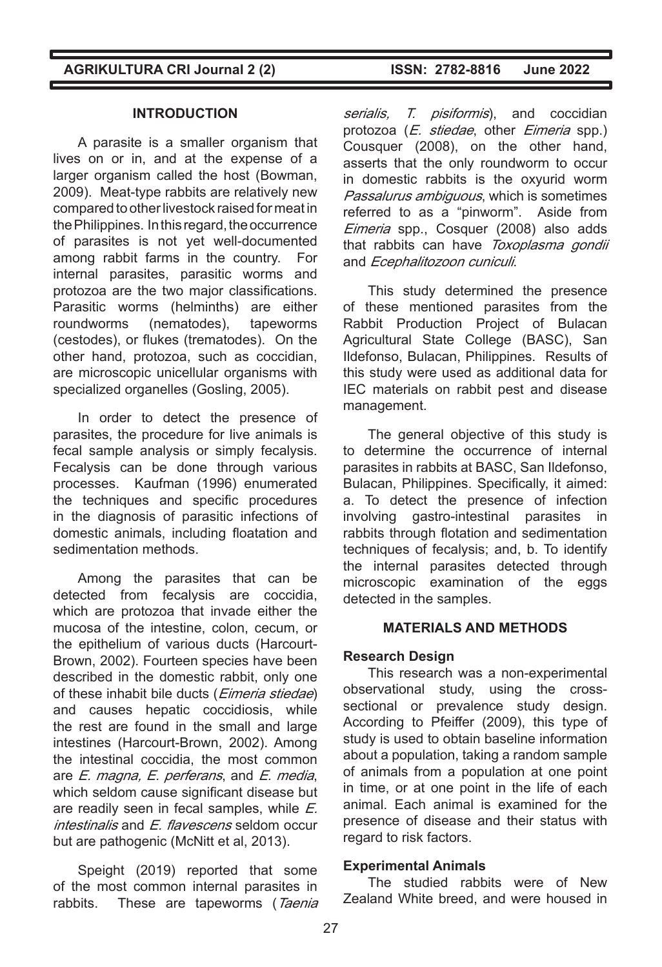## **INTRODUCTION**

A parasite is a smaller organism that lives on or in, and at the expense of a larger organism called the host (Bowman, 2009). Meat-type rabbits are relatively new compared to other livestock raised for meat in the Philippines. In this regard, the occurrence of parasites is not yet well-documented among rabbit farms in the country. For internal parasites, parasitic worms and protozoa are the two major classifications. Parasitic worms (helminths) are either roundworms (nematodes), tapeworms (cestodes), or flukes (trematodes). On the other hand, protozoa, such as coccidian, are microscopic unicellular organisms with specialized organelles (Gosling, 2005).

In order to detect the presence of parasites, the procedure for live animals is fecal sample analysis or simply fecalysis. Fecalysis can be done through various processes. Kaufman (1996) enumerated the techniques and specific procedures in the diagnosis of parasitic infections of domestic animals, including floatation and sedimentation methods.

Among the parasites that can be detected from fecalysis are coccidia, which are protozoa that invade either the mucosa of the intestine, colon, cecum, or the epithelium of various ducts (Harcourt-Brown, 2002). Fourteen species have been described in the domestic rabbit, only one of these inhabit bile ducts (*Eimeria stiedae*) and causes hepatic coccidiosis, while the rest are found in the small and large intestines (Harcourt-Brown, 2002). Among the intestinal coccidia, the most common are E. magna, E. perferans, and E. media, which seldom cause significant disease but are readily seen in fecal samples, while E.  $intestinalis$  and  $F$  *flavescens* seldom occur but are pathogenic (McNitt et al, 2013).

Speight (2019) reported that some of the most common internal parasites in rabbits. These are tapeworms (Taenia

serialis, T. pisiformis), and coccidian protozoa (E. stiedae, other Eimeria spp.) Cousquer (2008), on the other hand, asserts that the only roundworm to occur in domestic rabbits is the oxyurid worm Passalurus ambiguous, which is sometimes referred to as a "pinworm". Aside from Eimeria spp., Cosquer (2008) also adds that rabbits can have Toxoplasma gondii and Ecephalitozoon cuniculi.

This study determined the presence of these mentioned parasites from the Rabbit Production Project of Bulacan Agricultural State College (BASC), San Ildefonso, Bulacan, Philippines. Results of this study were used as additional data for IEC materials on rabbit pest and disease management.

The general objective of this study is to determine the occurrence of internal parasites in rabbits at BASC, San Ildefonso, Bulacan, Philippines. Specifically, it aimed: a. To detect the presence of infection involving gastro-intestinal parasites in rabbits through flotation and sedimentation techniques of fecalysis; and, b. To identify the internal parasites detected through microscopic examination of the eggs detected in the samples.

## **MATERIALS AND METHODS**

## **Research Design**

This research was a non-experimental observational study, using the crosssectional or prevalence study design. According to Pfeiffer (2009), this type of study is used to obtain baseline information about a population, taking a random sample of animals from a population at one point in time, or at one point in the life of each animal. Each animal is examined for the presence of disease and their status with regard to risk factors.

#### **Experimental Animals**

The studied rabbits were of New Zealand White breed, and were housed in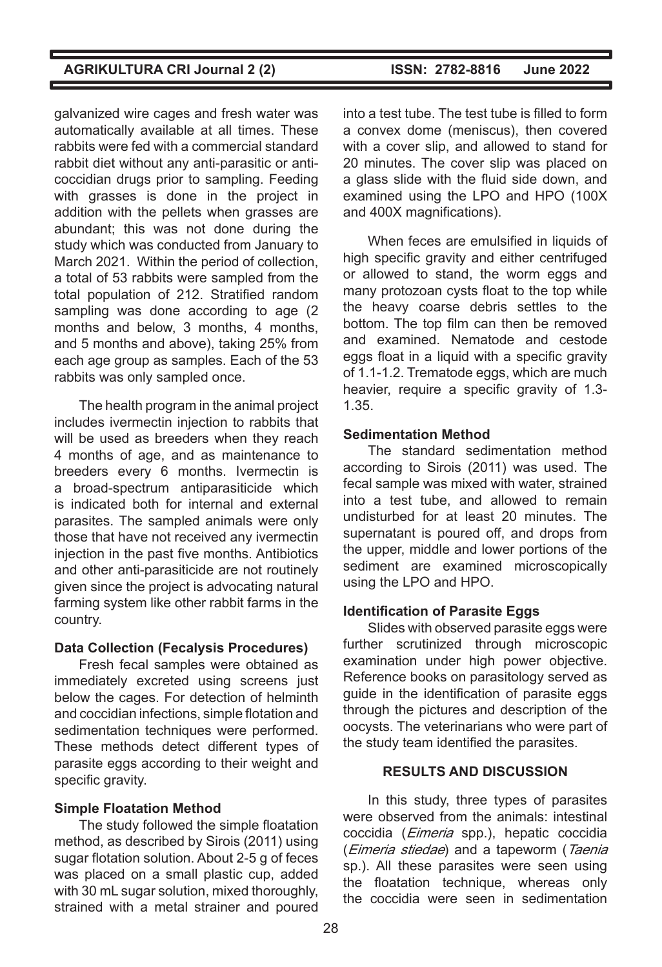galvanized wire cages and fresh water was automatically available at all times. These rabbits were fed with a commercial standard rabbit diet without any anti-parasitic or anticoccidian drugs prior to sampling. Feeding with grasses is done in the project in addition with the pellets when grasses are abundant; this was not done during the study which was conducted from January to March 2021. Within the period of collection, a total of 53 rabbits were sampled from the total population of 212. Stratified random sampling was done according to age (2 months and below, 3 months, 4 months, and 5 months and above), taking 25% from each age group as samples. Each of the 53 rabbits was only sampled once.

The health program in the animal project includes ivermectin injection to rabbits that will be used as breeders when they reach 4 months of age, and as maintenance to breeders every 6 months. Ivermectin is a broad-spectrum antiparasiticide which is indicated both for internal and external parasites. The sampled animals were only those that have not received any ivermectin injection in the past five months. Antibiotics and other anti-parasiticide are not routinely given since the project is advocating natural farming system like other rabbit farms in the country.

## **Data Collection (Fecalysis Procedures)**

Fresh fecal samples were obtained as immediately excreted using screens just below the cages. For detection of helminth and coccidian infections, simple flotation and sedimentation techniques were performed. These methods detect different types of parasite eggs according to their weight and specific gravity.

# **Simple Floatation Method**

The study followed the simple floatation method, as described by Sirois (2011) using sugar flotation solution. About 2-5 g of feces was placed on a small plastic cup, added with 30 mL sugar solution, mixed thoroughly, strained with a metal strainer and poured

into a test tube. The test tube is filled to form a convex dome (meniscus), then covered with a cover slip, and allowed to stand for 20 minutes. The cover slip was placed on a glass slide with the fluid side down, and examined using the LPO and HPO (100X and 400X magnifications).

When feces are emulsified in liquids of high specific gravity and either centrifuged or allowed to stand, the worm eggs and many protozoan cysts float to the top while the heavy coarse debris settles to the bottom. The top film can then be removed and examined. Nematode and cestode eggs float in a liquid with a specific gravity of 1.1-1.2. Trematode eggs, which are much heavier, require a specific gravity of 1.3- 1.35.

# **Sedimentation Method**

The standard sedimentation method according to Sirois (2011) was used. The fecal sample was mixed with water, strained into a test tube, and allowed to remain undisturbed for at least 20 minutes. The supernatant is poured off, and drops from the upper, middle and lower portions of the sediment are examined microscopically using the LPO and HPO.

# **Identification of Parasite Eggs**

Slides with observed parasite eggs were further scrutinized through microscopic examination under high power objective. Reference books on parasitology served as quide in the identification of parasite eggs through the pictures and description of the oocysts. The veterinarians who were part of the study team identified the parasites.

# **RESULTS AND DISCUSSION**

In this study, three types of parasites were observed from the animals: intestinal coccidia (*Eimeria* spp.), hepatic coccidia (*Eimeria stiedae*) and a tapeworm (Taenia sp.). All these parasites were seen using the floatation technique, whereas only the coccidia were seen in sedimentation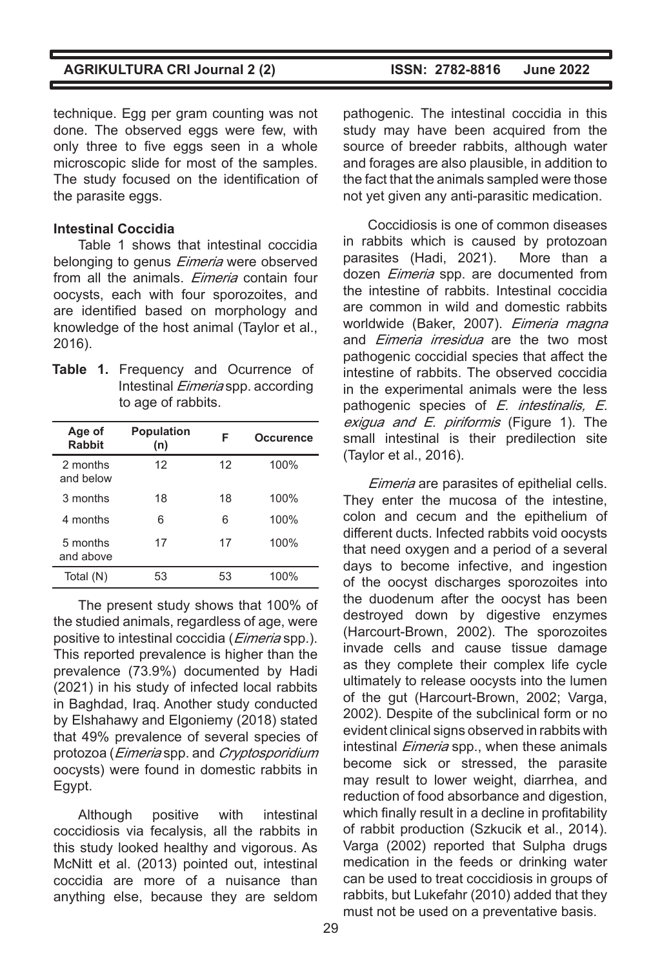technique. Egg per gram counting was not done. The observed eggs were few, with only three to five eggs seen in a whole microscopic slide for most of the samples. The study focused on the identification of the parasite eggs.

#### **Intestinal Coccidia**

Table 1 shows that intestinal coccidia belonging to genus *Eimeria* were observed from all the animals. *Eimeria* contain four oocysts, each with four sporozoites, and are identified based on morphology and knowledge of the host animal (Taylor et al., 2016).

|  | Table 1. Frequency and Ocurrence of      |  |  |  |  |
|--|------------------------------------------|--|--|--|--|
|  | Intestinal <i>Eimeria</i> spp. according |  |  |  |  |
|  | to age of rabbits.                       |  |  |  |  |

| Age of<br><b>Rabbit</b> | <b>Population</b><br>(n) | F  | <b>Occurence</b> |
|-------------------------|--------------------------|----|------------------|
| 2 months<br>and below   | 12                       | 12 | 100%             |
| 3 months                | 18                       | 18 | 100%             |
| 4 months                | 6                        | 6  | 100%             |
| 5 months<br>and above   | 17                       | 17 | 100%             |
| Total (N)               | 53                       | 53 | 100%             |

The present study shows that 100% of the studied animals, regardless of age, were positive to intestinal coccidia (*Eimeria* spp.). This reported prevalence is higher than the prevalence (73.9%) documented by Hadi (2021) in his study of infected local rabbits in Baghdad, Iraq. Another study conducted by Elshahawy and Elgoniemy (2018) stated that 49% prevalence of several species of protozoa (Eimeria spp. and Cryptosporidium oocysts) were found in domestic rabbits in Egypt.

Although positive with intestinal coccidiosis via fecalysis, all the rabbits in this study looked healthy and vigorous. As McNitt et al. (2013) pointed out, intestinal coccidia are more of a nuisance than anything else, because they are seldom pathogenic. The intestinal coccidia in this study may have been acquired from the source of breeder rabbits, although water and forages are also plausible, in addition to the fact that the animals sampled were those not yet given any anti-parasitic medication.

Coccidiosis is one of common diseases in rabbits which is caused by protozoan parasites (Hadi, 2021). More than a dozen *Eimeria* spp. are documented from the intestine of rabbits. Intestinal coccidia are common in wild and domestic rabbits worldwide (Baker, 2007). Eimeria magna and *Eimeria irresidua* are the two most pathogenic coccidial species that affect the intestine of rabbits. The observed coccidia in the experimental animals were the less pathogenic species of E. *intestinalis*, E. exiqua and E. piriformis (Figure 1). The small intestinal is their predilection site (Taylor et al., 2016).

Eimeria are parasites of epithelial cells. They enter the mucosa of the intestine, colon and cecum and the epithelium of different ducts. Infected rabbits void oocysts that need oxygen and a period of a several days to become infective, and ingestion of the oocyst discharges sporozoites into the duodenum after the oocyst has been destroyed down by digestive enzymes (Harcourt-Brown, 2002). The sporozoites invade cells and cause tissue damage as they complete their complex life cycle ultimately to release oocysts into the lumen of the gut (Harcourt-Brown, 2002; Varga, 2002). Despite of the subclinical form or no evident clinical signs observed in rabbits with intestinal *Eimeria* spp., when these animals become sick or stressed, the parasite may result to lower weight, diarrhea, and reduction of food absorbance and digestion, which finally result in a decline in profitability of rabbit production (Szkucik et al., 2014). Varga (2002) reported that Sulpha drugs medication in the feeds or drinking water can be used to treat coccidiosis in groups of rabbits, but Lukefahr (2010) added that they must not be used on a preventative basis.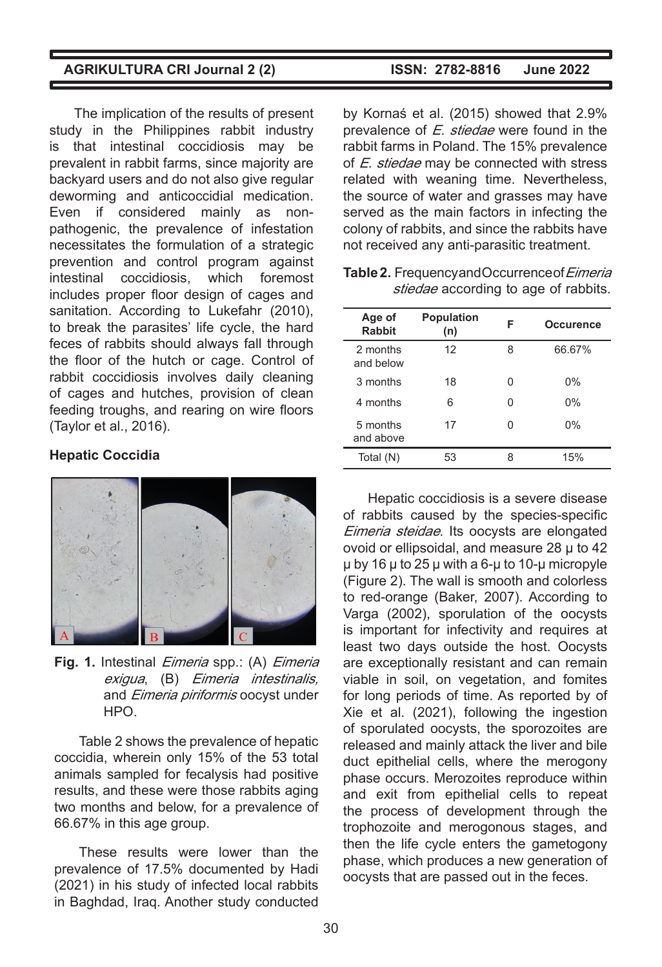The implication of the results of present study in the Philippines rabbit industry is that intestinal coccidiosis may be prevalent in rabbit farms, since majority are backyard users and do not also give regular deworming and anticoccidial medication. Even if considered mainly as nonpathogenic, the prevalence of infestation necessitates the formulation of a strategic prevention and control program against intestinal coccidiosis, which foremost includes proper floor design of cages and sanitation. According to Lukefahr (2010), to break the parasites' life cycle, the hard feces of rabbits should always fall through the floor of the hutch or cage. Control of rabbit coccidiosis involves daily cleaning of cages and hutches, provision of clean feeding troughs, and rearing on wire floors (Taylor et al., 2016).

#### **Hepatic Coccidia**



**Fig. 1.** Intestinal Eimeria spp.: (A) Eimeria exigua, (B) Eimeria intestinalis, and *Eimeria piriformis* oocyst under HPO.

Table 2 shows the prevalence of hepatic coccidia, wherein only 15% of the 53 total animals sampled for fecalysis had positive results, and these were those rabbits aging two months and below, for a prevalence of 66.67% in this age group.

These results were lower than the prevalence of 17.5% documented by Hadi (2021) in his study of infected local rabbits in Baghdad, Iraq. Another study conducted

by Kornaś et al. (2015) showed that 2.9% prevalence of E. stiedae were found in the rabbit farms in Poland. The 15% prevalence of E. stiedae may be connected with stress related with weaning time. Nevertheless, the source of water and grasses may have served as the main factors in infecting the colony of rabbits, and since the rabbits have not received any anti-parasitic treatment.

| Age of<br><b>Rabbit</b> | <b>Population</b><br>(n) | F | Occurence |
|-------------------------|--------------------------|---|-----------|
| 2 months<br>and below   | 12                       | 8 | 66.67%    |
| 3 months                | 18                       | ი | $0\%$     |
| 4 months                | 6                        | ი | $0\%$     |
| 5 months<br>and above   | 17                       | ი | $0\%$     |
| Total (N)               | 53                       | 8 | 15%       |
|                         |                          |   |           |

Table 2. Frequency and Occurrence of Eimeria stiedae according to age of rabbits.

Hepatic coccidiosis is a severe disease of rabbits caused by the species-specific Eimeria steidae. Its oocysts are elongated ovoid or ellipsoidal, and measure 28 µ to 42 µ by 16 µ to 25 µ with a 6-µ to 10-µ micropyle (Figure 2). The wall is smooth and colorless to red-orange (Baker, 2007). According to Varga (2002), sporulation of the oocysts is important for infectivity and requires at least two days outside the host. Oocysts are exceptionally resistant and can remain viable in soil, on vegetation, and fomites for long periods of time. As reported by of Xie et al. (2021), following the ingestion of sporulated oocysts, the sporozoites are released and mainly attack the liver and bile duct epithelial cells, where the merogony phase occurs. Merozoites reproduce within and exit from epithelial cells to repeat the process of development through the trophozoite and merogonous stages, and then the life cycle enters the gametogony phase, which produces a new generation of oocysts that are passed out in the feces.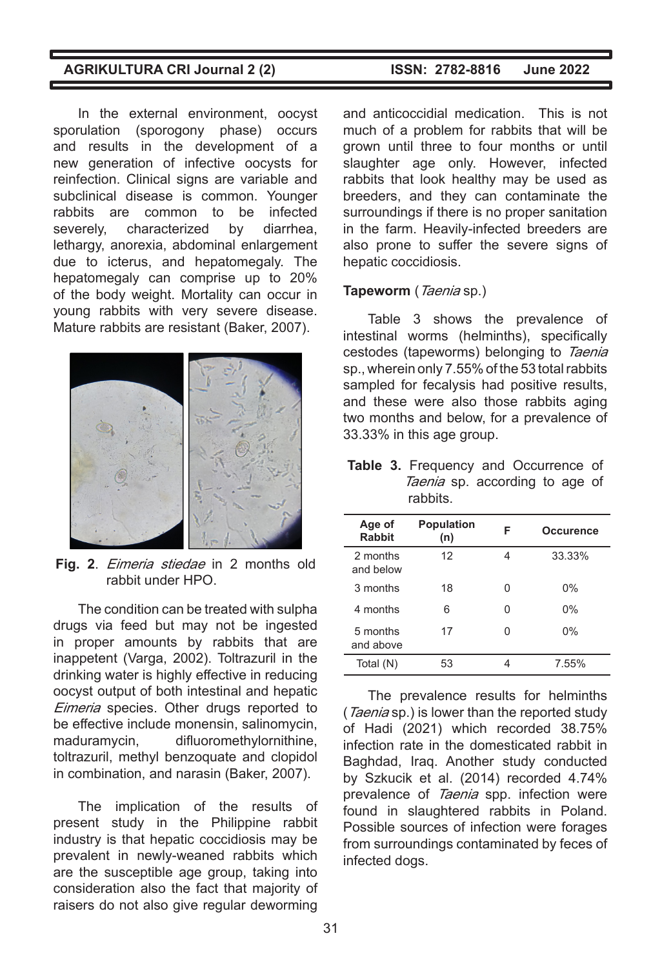In the external environment, oocyst sporulation (sporogony phase) occurs and results in the development of a new generation of infective oocysts for reinfection. Clinical signs are variable and subclinical disease is common. Younger rabbits are common to be infected severely, characterized by diarrhea, lethargy, anorexia, abdominal enlargement due to icterus, and hepatomegaly. The hepatomegaly can comprise up to 20% of the body weight. Mortality can occur in young rabbits with very severe disease. Mature rabbits are resistant (Baker, 2007).



**Fig. 2**. Eimeria stiedae in 2 months old rabbit under HPO.

The condition can be treated with sulpha drugs via feed but may not be ingested in proper amounts by rabbits that are inappetent (Varga, 2002). Toltrazuril in the drinking water is highly effective in reducing oocyst output of both intestinal and hepatic Eimeria species. Other drugs reported to be effective include monensin, salinomycin, maduramycin, difluoromethylornithine, toltrazuril, methyl benzoquate and clopidol in combination, and narasin (Baker, 2007).

The implication of the results of present study in the Philippine rabbit industry is that hepatic coccidiosis may be prevalent in newly-weaned rabbits which are the susceptible age group, taking into consideration also the fact that majority of raisers do not also give regular deworming

and anticoccidial medication. This is not much of a problem for rabbits that will be grown until three to four months or until slaughter age only. However, infected rabbits that look healthy may be used as breeders, and they can contaminate the surroundings if there is no proper sanitation in the farm. Heavily-infected breeders are also prone to suffer the severe signs of hepatic coccidiosis.

#### **Tapeworm** (Taenia sp.)

Table 3 shows the prevalence of intestinal worms (helminths), specifically cestodes (tapeworms) belonging to Taenia sp., wherein only 7.55% of the 53 total rabbits sampled for fecalysis had positive results, and these were also those rabbits aging two months and below, for a prevalence of 33.33% in this age group.

**Table 3.** Frequency and Occurrence of Taenia sp. according to age of rabbits.

| Age of<br><b>Rabbit</b> | <b>Population</b><br>(n) | F | Occurence |
|-------------------------|--------------------------|---|-----------|
| 2 months<br>and below   | 12                       | 4 | 33.33%    |
| 3 months                | 18                       | U | 0%        |
| 4 months                | 6                        | U | 0%        |
| 5 months<br>and above   | 17                       |   | 0%        |
| Total (N)               | 53                       |   | 7.55%     |

The prevalence results for helminths (Taenia sp.) is lower than the reported study of Hadi (2021) which recorded 38.75% infection rate in the domesticated rabbit in Baghdad, Iraq. Another study conducted by Szkucik et al. (2014) recorded 4.74% prevalence of Taenia spp. infection were found in slaughtered rabbits in Poland. Possible sources of infection were forages from surroundings contaminated by feces of infected dogs.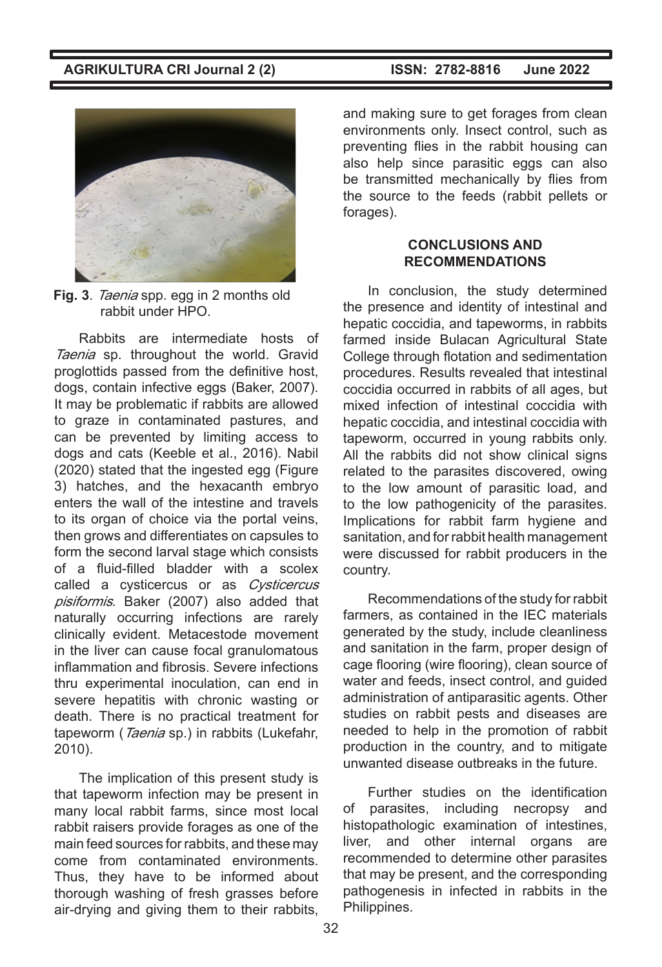

**Fig. 3**. Taenia spp. egg in 2 months old rabbit under HPO.

Rabbits are intermediate hosts of Taenia sp. throughout the world. Gravid proglottids passed from the definitive host, dogs, contain infective eggs (Baker, 2007). It may be problematic if rabbits are allowed to graze in contaminated pastures, and can be prevented by limiting access to dogs and cats (Keeble et al., 2016). Nabil (2020) stated that the ingested egg (Figure 3) hatches, and the hexacanth embryo enters the wall of the intestine and travels to its organ of choice via the portal veins, then grows and differentiates on capsules to form the second larval stage which consists of a fluid-filled bladder with a scolex called a cysticercus or as Cysticercus pisiformis. Baker (2007) also added that naturally occurring infections are rarely clinically evident. Metacestode movement in the liver can cause focal granulomatous inflammation and fibrosis. Severe infections thru experimental inoculation, can end in severe hepatitis with chronic wasting or death. There is no practical treatment for tapeworm (Taenia sp.) in rabbits (Lukefahr, 2010).

The implication of this present study is that tapeworm infection may be present in many local rabbit farms, since most local rabbit raisers provide forages as one of the main feed sources for rabbits, and these may come from contaminated environments. Thus, they have to be informed about thorough washing of fresh grasses before air-drying and giving them to their rabbits,

and making sure to get forages from clean environments only. Insect control, such as preventing flies in the rabbit housing can also help since parasitic eggs can also be transmitted mechanically by flies from the source to the feeds (rabbit pellets or forages).

#### **CONCLUSIONS AND RECOMMENDATIONS**

In conclusion, the study determined the presence and identity of intestinal and hepatic coccidia, and tapeworms, in rabbits farmed inside Bulacan Agricultural State College through flotation and sedimentation procedures. Results revealed that intestinal coccidia occurred in rabbits of all ages, but mixed infection of intestinal coccidia with hepatic coccidia, and intestinal coccidia with tapeworm, occurred in young rabbits only. All the rabbits did not show clinical signs related to the parasites discovered, owing to the low amount of parasitic load, and to the low pathogenicity of the parasites. Implications for rabbit farm hygiene and sanitation, and for rabbit health management were discussed for rabbit producers in the country.

Recommendations of the study for rabbit farmers, as contained in the IEC materials generated by the study, include cleanliness and sanitation in the farm, proper design of cage flooring (wire flooring), clean source of water and feeds, insect control, and guided administration of antiparasitic agents. Other studies on rabbit pests and diseases are needed to help in the promotion of rabbit production in the country, and to mitigate unwanted disease outbreaks in the future.

Further studies on the identification of parasites, including necropsy and histopathologic examination of intestines, liver, and other internal organs are recommended to determine other parasites that may be present, and the corresponding pathogenesis in infected in rabbits in the Philippines.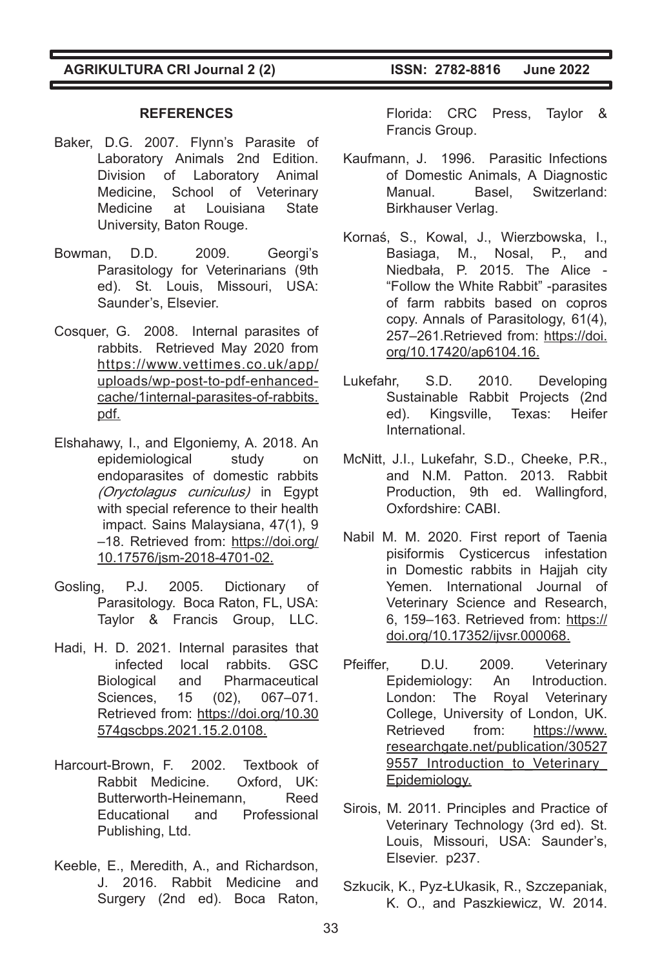#### **REFERENCES**

- Baker, D.G. 2007. Flynn's Parasite of Laboratory Animals 2nd Edition. Division of Laboratory Animal Medicine, School of Veterinary Medicine at Louisiana State University, Baton Rouge.
- Bowman, D.D. 2009. Georgi's Parasitology for Veterinarians (9th ed). St. Louis, Missouri, USA: Saunder's, Elsevier.
- Cosquer, G. 2008. Internal parasites of rabbits. Retrieved May 2020 from https://www.vettimes.co.uk/app/ uploads/wp-post-to-pdf-enhancedcache/1internal-parasites-of-rabbits. pdf.
- Elshahawy, I., and Elgoniemy, A. 2018. An epidemiological study on endoparasites of domestic rabbits (Oryctolagus cuniculus) in Egypt with special reference to their health impact. Sains Malaysiana, 47(1), 9 –18. Retrieved from: https://doi.org/ 10.17576/jsm-2018-4701-02.
- Gosling, P.J. 2005. Dictionary of Parasitology. Boca Raton, FL, USA: Taylor & Francis Group, LLC.
- Hadi, H. D. 2021. Internal parasites that infected local rabbits. GSC Biological and Pharmaceutical Sciences, 15 (02), 067–071. Retrieved from: https://doi.org/10.30 574gscbps.2021.15.2.0108.
- Harcourt-Brown, F. 2002. Textbook of Rabbit Medicine. Oxford, UK: Butterworth-Heinemann, Reed Educational and Professional Publishing, Ltd.
- Keeble, E., Meredith, A., and Richardson, J. 2016. Rabbit Medicine and Surgery (2nd ed). Boca Raton,

Florida: CRC Press, Taylor & Francis Group.

- Kaufmann, J. 1996. Parasitic Infections of Domestic Animals, A Diagnostic Manual. Basel, Switzerland: Birkhauser Verlag.
- Kornaś, S., Kowal, J., Wierzbowska, I., Basiaga, M., Nosal, P., and Niedbała, P. 2015. The Alice - "Follow the White Rabbit" -parasites of farm rabbits based on copros copy. Annals of Parasitology, 61(4), 257–261.Retrieved from: https://doi. org/10.17420/ap6104.16.
- Lukefahr, S.D. 2010. Developing Sustainable Rabbit Projects (2nd ed). Kingsville, Texas: Heifer International.
- McNitt, J.I., Lukefahr, S.D., Cheeke, P.R., and N.M. Patton. 2013. Rabbit Production, 9th ed. Wallingford, Oxfordshire: CABI.
- Nabil M. M. 2020. First report of Taenia pisiformis Cysticercus infestation in Domestic rabbits in Haijah city Yemen. International Journal of Veterinary Science and Research, 6, 159–163. Retrieved from: https:// doi.org/10.17352/ijvsr.000068.
- Pfeiffer, D.U. 2009. Veterinary Epidemiology: An Introduction. London: The Royal Veterinary College, University of London, UK. Retrieved from: https://www. researchgate.net/publication/30527 9557 Introduction to Veterinary Epidemiology.
- Sirois, M. 2011. Principles and Practice of Veterinary Technology (3rd ed). St. Louis, Missouri, USA: Saunder's, Elsevier. p237.
- Szkucik, K., Pyz-ŁUkasik, R., Szczepaniak, K. O., and Paszkiewicz, W. 2014.